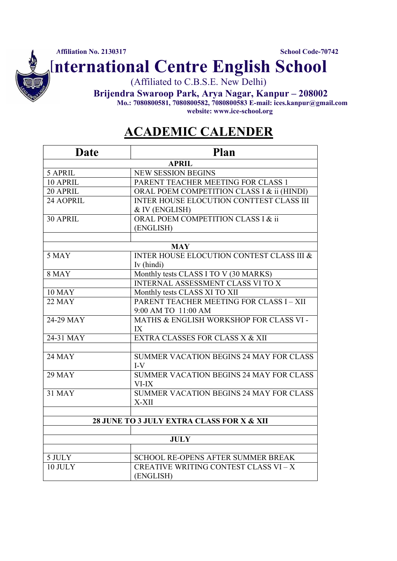International Centre English School

(Affiliated to C.B.S.E. New Delhi)

Brijendra Swaroop Park, Arya Nagar, Kanpur – 208002

Mo.: 7080800581, 7080800582, 7080800583 E-mail: ices.kanpur@gmail.com website: www.ice-school.org

## ACADEMIC CALENDER

| <b>APRIL</b><br><b>NEW SESSION BEGINS</b><br>5 APRIL<br>10 APRIL<br>PARENT TEACHER MEETING FOR CLASS 1<br>20 APRIL<br>ORAL POEM COMPETITION CLASS I & ii (HINDI)<br>INTER HOUSE ELOCUTION CONTTEST CLASS III<br>24 AOPRIL<br>& IV (ENGLISH)<br>ORAL POEM COMPETITION CLASS I & ii<br>30 APRIL<br>(ENGLISH)<br><b>MAY</b><br><b>INTER HOUSE ELOCUTION CONTEST CLASS III &amp;</b><br>5 MAY<br>Iv (hindi)<br><b>8 MAY</b><br>Monthly tests CLASS I TO V (30 MARKS)<br><b>INTERNAL ASSESSMENT CLASS VI TO X</b><br><b>10 MAY</b><br>Monthly tests CLASS XI TO XII<br>PARENT TEACHER MEETING FOR CLASS I - XII<br><b>22 MAY</b><br>9:00 AM TO 11:00 AM<br>$24-29$ MAY<br>MATHS & ENGLISH WORKSHOP FOR CLASS VI -<br>IX<br>24-31 MAY<br>EXTRA CLASSES FOR CLASS X & XII<br><b>24 MAY</b><br><b>SUMMER VACATION BEGINS 24 MAY FOR CLASS</b><br>$I-V$<br><b>29 MAY</b><br>SUMMER VACATION BEGINS 24 MAY FOR CLASS<br>VI-IX<br><b>31 MAY</b><br>SUMMER VACATION BEGINS 24 MAY FOR CLASS<br>X-XII<br>28 JUNE TO 3 JULY EXTRA CLASS FOR X & XII<br><b>JULY</b> |
|------------------------------------------------------------------------------------------------------------------------------------------------------------------------------------------------------------------------------------------------------------------------------------------------------------------------------------------------------------------------------------------------------------------------------------------------------------------------------------------------------------------------------------------------------------------------------------------------------------------------------------------------------------------------------------------------------------------------------------------------------------------------------------------------------------------------------------------------------------------------------------------------------------------------------------------------------------------------------------------------------------------------------------------------------|
|                                                                                                                                                                                                                                                                                                                                                                                                                                                                                                                                                                                                                                                                                                                                                                                                                                                                                                                                                                                                                                                      |
|                                                                                                                                                                                                                                                                                                                                                                                                                                                                                                                                                                                                                                                                                                                                                                                                                                                                                                                                                                                                                                                      |
|                                                                                                                                                                                                                                                                                                                                                                                                                                                                                                                                                                                                                                                                                                                                                                                                                                                                                                                                                                                                                                                      |
|                                                                                                                                                                                                                                                                                                                                                                                                                                                                                                                                                                                                                                                                                                                                                                                                                                                                                                                                                                                                                                                      |
|                                                                                                                                                                                                                                                                                                                                                                                                                                                                                                                                                                                                                                                                                                                                                                                                                                                                                                                                                                                                                                                      |
|                                                                                                                                                                                                                                                                                                                                                                                                                                                                                                                                                                                                                                                                                                                                                                                                                                                                                                                                                                                                                                                      |
|                                                                                                                                                                                                                                                                                                                                                                                                                                                                                                                                                                                                                                                                                                                                                                                                                                                                                                                                                                                                                                                      |
|                                                                                                                                                                                                                                                                                                                                                                                                                                                                                                                                                                                                                                                                                                                                                                                                                                                                                                                                                                                                                                                      |
|                                                                                                                                                                                                                                                                                                                                                                                                                                                                                                                                                                                                                                                                                                                                                                                                                                                                                                                                                                                                                                                      |
|                                                                                                                                                                                                                                                                                                                                                                                                                                                                                                                                                                                                                                                                                                                                                                                                                                                                                                                                                                                                                                                      |
|                                                                                                                                                                                                                                                                                                                                                                                                                                                                                                                                                                                                                                                                                                                                                                                                                                                                                                                                                                                                                                                      |
|                                                                                                                                                                                                                                                                                                                                                                                                                                                                                                                                                                                                                                                                                                                                                                                                                                                                                                                                                                                                                                                      |
|                                                                                                                                                                                                                                                                                                                                                                                                                                                                                                                                                                                                                                                                                                                                                                                                                                                                                                                                                                                                                                                      |
|                                                                                                                                                                                                                                                                                                                                                                                                                                                                                                                                                                                                                                                                                                                                                                                                                                                                                                                                                                                                                                                      |
|                                                                                                                                                                                                                                                                                                                                                                                                                                                                                                                                                                                                                                                                                                                                                                                                                                                                                                                                                                                                                                                      |
|                                                                                                                                                                                                                                                                                                                                                                                                                                                                                                                                                                                                                                                                                                                                                                                                                                                                                                                                                                                                                                                      |
|                                                                                                                                                                                                                                                                                                                                                                                                                                                                                                                                                                                                                                                                                                                                                                                                                                                                                                                                                                                                                                                      |
|                                                                                                                                                                                                                                                                                                                                                                                                                                                                                                                                                                                                                                                                                                                                                                                                                                                                                                                                                                                                                                                      |
|                                                                                                                                                                                                                                                                                                                                                                                                                                                                                                                                                                                                                                                                                                                                                                                                                                                                                                                                                                                                                                                      |
|                                                                                                                                                                                                                                                                                                                                                                                                                                                                                                                                                                                                                                                                                                                                                                                                                                                                                                                                                                                                                                                      |
|                                                                                                                                                                                                                                                                                                                                                                                                                                                                                                                                                                                                                                                                                                                                                                                                                                                                                                                                                                                                                                                      |
|                                                                                                                                                                                                                                                                                                                                                                                                                                                                                                                                                                                                                                                                                                                                                                                                                                                                                                                                                                                                                                                      |
|                                                                                                                                                                                                                                                                                                                                                                                                                                                                                                                                                                                                                                                                                                                                                                                                                                                                                                                                                                                                                                                      |
|                                                                                                                                                                                                                                                                                                                                                                                                                                                                                                                                                                                                                                                                                                                                                                                                                                                                                                                                                                                                                                                      |
|                                                                                                                                                                                                                                                                                                                                                                                                                                                                                                                                                                                                                                                                                                                                                                                                                                                                                                                                                                                                                                                      |
|                                                                                                                                                                                                                                                                                                                                                                                                                                                                                                                                                                                                                                                                                                                                                                                                                                                                                                                                                                                                                                                      |
|                                                                                                                                                                                                                                                                                                                                                                                                                                                                                                                                                                                                                                                                                                                                                                                                                                                                                                                                                                                                                                                      |
|                                                                                                                                                                                                                                                                                                                                                                                                                                                                                                                                                                                                                                                                                                                                                                                                                                                                                                                                                                                                                                                      |
|                                                                                                                                                                                                                                                                                                                                                                                                                                                                                                                                                                                                                                                                                                                                                                                                                                                                                                                                                                                                                                                      |
|                                                                                                                                                                                                                                                                                                                                                                                                                                                                                                                                                                                                                                                                                                                                                                                                                                                                                                                                                                                                                                                      |
| 5 JULY<br>SCHOOL RE-OPENS AFTER SUMMER BREAK                                                                                                                                                                                                                                                                                                                                                                                                                                                                                                                                                                                                                                                                                                                                                                                                                                                                                                                                                                                                         |
| 10 JULY<br>CREATIVE WRITING CONTEST CLASS VI - X                                                                                                                                                                                                                                                                                                                                                                                                                                                                                                                                                                                                                                                                                                                                                                                                                                                                                                                                                                                                     |
| (ENGLISH)                                                                                                                                                                                                                                                                                                                                                                                                                                                                                                                                                                                                                                                                                                                                                                                                                                                                                                                                                                                                                                            |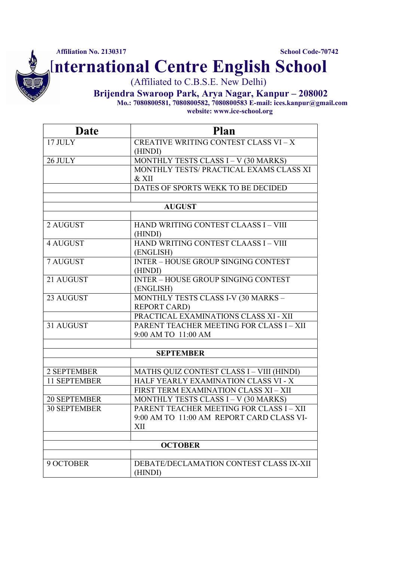International Centre English School

(Affiliated to C.B.S.E. New Delhi)

Brijendra Swaroop Park, Arya Nagar, Kanpur – 208002 Mo.: 7080800581, 7080800582, 7080800583 E-mail: ices.kanpur@gmail.com

website: www.ice-school.org

| <b>Date</b>         | <b>Plan</b>                                  |
|---------------------|----------------------------------------------|
| 17 JULY             | <b>CREATIVE WRITING CONTEST CLASS VI - X</b> |
|                     | (HINDI)                                      |
| 26 JULY             | MONTHLY TESTS CLASS I - V (30 MARKS)         |
|                     | MONTHLY TESTS/ PRACTICAL EXAMS CLASS XI      |
|                     | & XII                                        |
|                     | DATES OF SPORTS WEKK TO BE DECIDED           |
|                     |                                              |
|                     | <b>AUGUST</b>                                |
| 2 AUGUST            | HAND WRITING CONTEST CLAASS I - VIII         |
|                     | (HINDI)                                      |
| 4 AUGUST            | HAND WRITING CONTEST CLAASS I - VIII         |
|                     | (ENGLISH)                                    |
| <b>7 AUGUST</b>     | <b>INTER - HOUSE GROUP SINGING CONTEST</b>   |
|                     | (HINDI)                                      |
| 21 AUGUST           | <b>INTER - HOUSE GROUP SINGING CONTEST</b>   |
|                     | (ENGLISH)                                    |
| 23 AUGUST           | MONTHLY TESTS CLASS I-V (30 MARKS -          |
|                     | <b>REPORT CARD)</b>                          |
|                     | PRACTICAL EXAMINATIONS CLASS XI - XII        |
| 31 AUGUST           | PARENT TEACHER MEETING FOR CLASS I - XII     |
|                     | 9:00 AM TO 11:00 AM                          |
|                     |                                              |
|                     | <b>SEPTEMBER</b>                             |
| 2 SEPTEMBER         | MATHS QUIZ CONTEST CLASS I - VIII (HINDI)    |
| <b>11 SEPTEMBER</b> | HALF YEARLY EXAMINATION CLASS VI - X         |
|                     | FIRST TERM EXAMINATION CLASS XI - XII        |
| <b>20 SEPTEMBER</b> | MONTHLY TESTS CLASS I - V (30 MARKS)         |
| <b>30 SEPTEMBER</b> | PARENT TEACHER MEETING FOR CLASS I - XII     |
|                     | 9:00 AM TO 11:00 AM REPORT CARD CLASS VI-    |
|                     | XII                                          |
|                     |                                              |
|                     | <b>OCTOBER</b>                               |
| 9 OCTOBER           | DEBATE/DECLAMATION CONTEST CLASS IX-XII      |
|                     | (HINDI)                                      |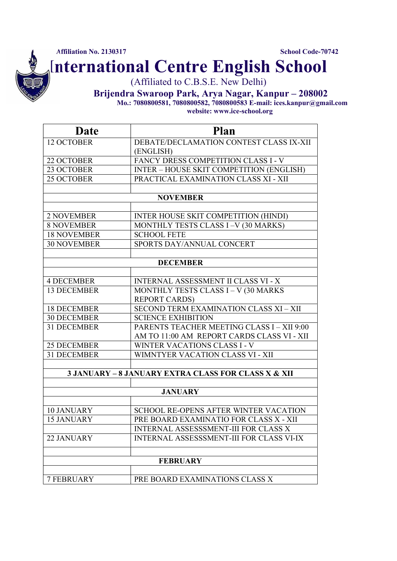International Centre English School

(Affiliated to C.B.S.E. New Delhi)

Brijendra Swaroop Park, Arya Nagar, Kanpur – 208002 Mo.: 7080800581, 7080800582, 7080800583 E-mail: ices.kanpur@gmail.com

website: www.ice-school.org

| (ENGLISH)<br>FANCY DRESS COMPETITION CLASS I - V<br><b>INTER - HOUSE SKIT COMPETITION (ENGLISH)</b><br>PRACTICAL EXAMINATION CLASS XI - XII<br><b>NOVEMBER</b><br>INTER HOUSE SKIT COMPETITION (HINDI)<br><b>2 NOVEMBER</b><br>MONTHLY TESTS CLASS I-V (30 MARKS)<br><b>8 NOVEMBER</b><br><b>18 NOVEMBER</b><br><b>SCHOOL FETE</b><br>SPORTS DAY/ANNUAL CONCERT<br><b>DECEMBER</b><br><b>4 DECEMBER</b><br><b>INTERNAL ASSESSMENT II CLASS VI - X</b><br><b>13 DECEMBER</b><br>MONTHLY TESTS CLASS I - V (30 MARKS<br><b>REPORT CARDS)</b><br>SECOND TERM EXAMINATION CLASS XI - XII<br><b>18 DECEMBER</b><br><b>30 DECEMBER</b><br><b>SCIENCE EXHIBITION</b><br>PARENTS TEACHER MEETING CLASS I - XII 9:00<br><b>31 DECEMBER</b><br>AM TO 11:00 AM REPORT CARDS CLASS VI - XII<br><b>25 DECEMBER</b><br>WINTER VACATIONS CLASS I - V<br>WIMNTYER VACATION CLASS VI - XII<br><b>3 JANUARY - 8 JANUARY EXTRA CLASS FOR CLASS X &amp; XII</b><br><b>JANUARY</b><br>SCHOOL RE-OPENS AFTER WINTER VACATION<br>PRE BOARD EXAMINATIO FOR CLASS X - XII<br><b>INTERNAL ASSESSSMENT-III FOR CLASS X</b><br><b>INTERNAL ASSESSSMENT-III FOR CLASS VI-IX</b><br><b>FEBRUARY</b> | Date               | <b>Plan</b>                             |
|-----------------------------------------------------------------------------------------------------------------------------------------------------------------------------------------------------------------------------------------------------------------------------------------------------------------------------------------------------------------------------------------------------------------------------------------------------------------------------------------------------------------------------------------------------------------------------------------------------------------------------------------------------------------------------------------------------------------------------------------------------------------------------------------------------------------------------------------------------------------------------------------------------------------------------------------------------------------------------------------------------------------------------------------------------------------------------------------------------------------------------------------------------------------------|--------------------|-----------------------------------------|
|                                                                                                                                                                                                                                                                                                                                                                                                                                                                                                                                                                                                                                                                                                                                                                                                                                                                                                                                                                                                                                                                                                                                                                       | 12 OCTOBER         | DEBATE/DECLAMATION CONTEST CLASS IX-XII |
|                                                                                                                                                                                                                                                                                                                                                                                                                                                                                                                                                                                                                                                                                                                                                                                                                                                                                                                                                                                                                                                                                                                                                                       |                    |                                         |
|                                                                                                                                                                                                                                                                                                                                                                                                                                                                                                                                                                                                                                                                                                                                                                                                                                                                                                                                                                                                                                                                                                                                                                       | 22 OCTOBER         |                                         |
|                                                                                                                                                                                                                                                                                                                                                                                                                                                                                                                                                                                                                                                                                                                                                                                                                                                                                                                                                                                                                                                                                                                                                                       | 23 OCTOBER         |                                         |
|                                                                                                                                                                                                                                                                                                                                                                                                                                                                                                                                                                                                                                                                                                                                                                                                                                                                                                                                                                                                                                                                                                                                                                       | 25 OCTOBER         |                                         |
|                                                                                                                                                                                                                                                                                                                                                                                                                                                                                                                                                                                                                                                                                                                                                                                                                                                                                                                                                                                                                                                                                                                                                                       |                    |                                         |
|                                                                                                                                                                                                                                                                                                                                                                                                                                                                                                                                                                                                                                                                                                                                                                                                                                                                                                                                                                                                                                                                                                                                                                       |                    |                                         |
|                                                                                                                                                                                                                                                                                                                                                                                                                                                                                                                                                                                                                                                                                                                                                                                                                                                                                                                                                                                                                                                                                                                                                                       |                    |                                         |
|                                                                                                                                                                                                                                                                                                                                                                                                                                                                                                                                                                                                                                                                                                                                                                                                                                                                                                                                                                                                                                                                                                                                                                       |                    |                                         |
|                                                                                                                                                                                                                                                                                                                                                                                                                                                                                                                                                                                                                                                                                                                                                                                                                                                                                                                                                                                                                                                                                                                                                                       |                    |                                         |
|                                                                                                                                                                                                                                                                                                                                                                                                                                                                                                                                                                                                                                                                                                                                                                                                                                                                                                                                                                                                                                                                                                                                                                       | <b>30 NOVEMBER</b> |                                         |
|                                                                                                                                                                                                                                                                                                                                                                                                                                                                                                                                                                                                                                                                                                                                                                                                                                                                                                                                                                                                                                                                                                                                                                       |                    |                                         |
|                                                                                                                                                                                                                                                                                                                                                                                                                                                                                                                                                                                                                                                                                                                                                                                                                                                                                                                                                                                                                                                                                                                                                                       |                    |                                         |
|                                                                                                                                                                                                                                                                                                                                                                                                                                                                                                                                                                                                                                                                                                                                                                                                                                                                                                                                                                                                                                                                                                                                                                       |                    |                                         |
|                                                                                                                                                                                                                                                                                                                                                                                                                                                                                                                                                                                                                                                                                                                                                                                                                                                                                                                                                                                                                                                                                                                                                                       |                    |                                         |
|                                                                                                                                                                                                                                                                                                                                                                                                                                                                                                                                                                                                                                                                                                                                                                                                                                                                                                                                                                                                                                                                                                                                                                       |                    |                                         |
|                                                                                                                                                                                                                                                                                                                                                                                                                                                                                                                                                                                                                                                                                                                                                                                                                                                                                                                                                                                                                                                                                                                                                                       |                    |                                         |
|                                                                                                                                                                                                                                                                                                                                                                                                                                                                                                                                                                                                                                                                                                                                                                                                                                                                                                                                                                                                                                                                                                                                                                       |                    |                                         |
|                                                                                                                                                                                                                                                                                                                                                                                                                                                                                                                                                                                                                                                                                                                                                                                                                                                                                                                                                                                                                                                                                                                                                                       |                    |                                         |
|                                                                                                                                                                                                                                                                                                                                                                                                                                                                                                                                                                                                                                                                                                                                                                                                                                                                                                                                                                                                                                                                                                                                                                       |                    |                                         |
|                                                                                                                                                                                                                                                                                                                                                                                                                                                                                                                                                                                                                                                                                                                                                                                                                                                                                                                                                                                                                                                                                                                                                                       |                    |                                         |
|                                                                                                                                                                                                                                                                                                                                                                                                                                                                                                                                                                                                                                                                                                                                                                                                                                                                                                                                                                                                                                                                                                                                                                       | <b>31 DECEMBER</b> |                                         |
|                                                                                                                                                                                                                                                                                                                                                                                                                                                                                                                                                                                                                                                                                                                                                                                                                                                                                                                                                                                                                                                                                                                                                                       |                    |                                         |
|                                                                                                                                                                                                                                                                                                                                                                                                                                                                                                                                                                                                                                                                                                                                                                                                                                                                                                                                                                                                                                                                                                                                                                       |                    |                                         |
|                                                                                                                                                                                                                                                                                                                                                                                                                                                                                                                                                                                                                                                                                                                                                                                                                                                                                                                                                                                                                                                                                                                                                                       |                    |                                         |
|                                                                                                                                                                                                                                                                                                                                                                                                                                                                                                                                                                                                                                                                                                                                                                                                                                                                                                                                                                                                                                                                                                                                                                       |                    |                                         |
|                                                                                                                                                                                                                                                                                                                                                                                                                                                                                                                                                                                                                                                                                                                                                                                                                                                                                                                                                                                                                                                                                                                                                                       | <b>10 JANUARY</b>  |                                         |
|                                                                                                                                                                                                                                                                                                                                                                                                                                                                                                                                                                                                                                                                                                                                                                                                                                                                                                                                                                                                                                                                                                                                                                       | <b>15 JANUARY</b>  |                                         |
|                                                                                                                                                                                                                                                                                                                                                                                                                                                                                                                                                                                                                                                                                                                                                                                                                                                                                                                                                                                                                                                                                                                                                                       |                    |                                         |
|                                                                                                                                                                                                                                                                                                                                                                                                                                                                                                                                                                                                                                                                                                                                                                                                                                                                                                                                                                                                                                                                                                                                                                       | 22 JANUARY         |                                         |
|                                                                                                                                                                                                                                                                                                                                                                                                                                                                                                                                                                                                                                                                                                                                                                                                                                                                                                                                                                                                                                                                                                                                                                       |                    |                                         |
|                                                                                                                                                                                                                                                                                                                                                                                                                                                                                                                                                                                                                                                                                                                                                                                                                                                                                                                                                                                                                                                                                                                                                                       |                    |                                         |
|                                                                                                                                                                                                                                                                                                                                                                                                                                                                                                                                                                                                                                                                                                                                                                                                                                                                                                                                                                                                                                                                                                                                                                       | <b>7 FEBRUARY</b>  | PRE BOARD EXAMINATIONS CLASS X          |